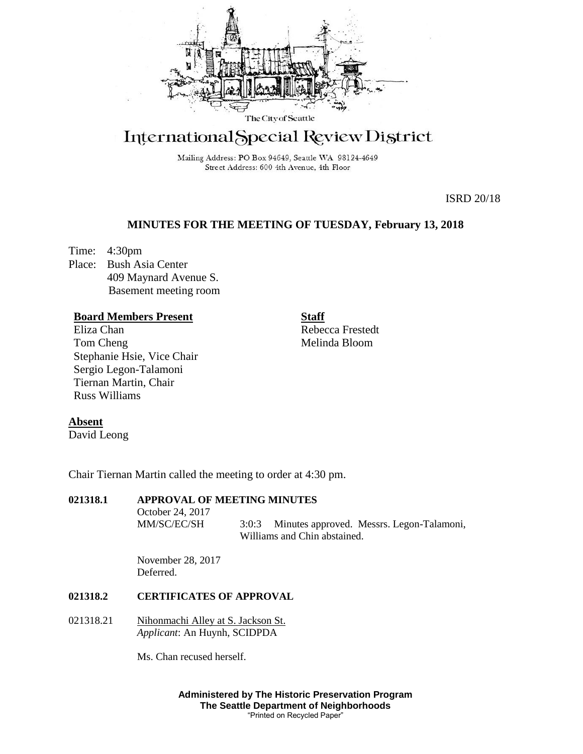

# International Special Review District

Mailing Address: PO Box 94649, Seattle WA 98124-4649 Street Address: 600 4th Avenue, 4th Floor

ISRD 20/18

# **MINUTES FOR THE MEETING OF TUESDAY, February 13, 2018**

Time: 4:30pm Place: Bush Asia Center 409 Maynard Avenue S. Basement meeting room

## **Board Members Present**

Eliza Chan Tom Cheng Stephanie Hsie, Vice Chair Sergio Legon-Talamoni Tiernan Martin, Chair Russ Williams

**Staff** Rebecca Frestedt Melinda Bloom

## **Absent**

David Leong

Chair Tiernan Martin called the meeting to order at 4:30 pm.

## **021318.1 APPROVAL OF MEETING MINUTES**

October 24, 2017

MM/SC/EC/SH 3:0:3 Minutes approved. Messrs. Legon-Talamoni, Williams and Chin abstained.

November 28, 2017 Deferred.

# **021318.2 CERTIFICATES OF APPROVAL**

021318.21 Nihonmachi Alley at S. Jackson St. *Applicant*: An Huynh, SCIDPDA

Ms. Chan recused herself.

**Administered by The Historic Preservation Program The Seattle Department of Neighborhoods** "Printed on Recycled Paper"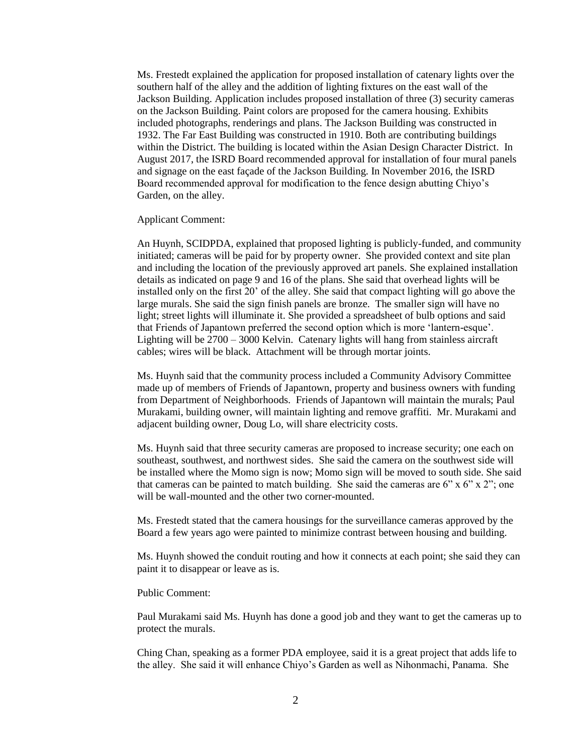Ms. Frestedt explained the application for proposed installation of catenary lights over the southern half of the alley and the addition of lighting fixtures on the east wall of the Jackson Building. Application includes proposed installation of three (3) security cameras on the Jackson Building. Paint colors are proposed for the camera housing. Exhibits included photographs, renderings and plans. The Jackson Building was constructed in 1932. The Far East Building was constructed in 1910. Both are contributing buildings within the District. The building is located within the Asian Design Character District. In August 2017, the ISRD Board recommended approval for installation of four mural panels and signage on the east façade of the Jackson Building. In November 2016, the ISRD Board recommended approval for modification to the fence design abutting Chiyo's Garden, on the alley.

Applicant Comment:

An Huynh, SCIDPDA, explained that proposed lighting is publicly-funded, and community initiated; cameras will be paid for by property owner. She provided context and site plan and including the location of the previously approved art panels. She explained installation details as indicated on page 9 and 16 of the plans. She said that overhead lights will be installed only on the first 20' of the alley. She said that compact lighting will go above the large murals. She said the sign finish panels are bronze. The smaller sign will have no light; street lights will illuminate it. She provided a spreadsheet of bulb options and said that Friends of Japantown preferred the second option which is more 'lantern-esque'. Lighting will be 2700 – 3000 Kelvin. Catenary lights will hang from stainless aircraft cables; wires will be black. Attachment will be through mortar joints.

Ms. Huynh said that the community process included a Community Advisory Committee made up of members of Friends of Japantown, property and business owners with funding from Department of Neighborhoods. Friends of Japantown will maintain the murals; Paul Murakami, building owner, will maintain lighting and remove graffiti. Mr. Murakami and adjacent building owner, Doug Lo, will share electricity costs.

Ms. Huynh said that three security cameras are proposed to increase security; one each on southeast, southwest, and northwest sides. She said the camera on the southwest side will be installed where the Momo sign is now; Momo sign will be moved to south side. She said that cameras can be painted to match building. She said the cameras are  $6''$  x  $6''$  x  $2''$ ; one will be wall-mounted and the other two corner-mounted.

Ms. Frestedt stated that the camera housings for the surveillance cameras approved by the Board a few years ago were painted to minimize contrast between housing and building.

Ms. Huynh showed the conduit routing and how it connects at each point; she said they can paint it to disappear or leave as is.

Public Comment:

Paul Murakami said Ms. Huynh has done a good job and they want to get the cameras up to protect the murals.

Ching Chan, speaking as a former PDA employee, said it is a great project that adds life to the alley. She said it will enhance Chiyo's Garden as well as Nihonmachi, Panama. She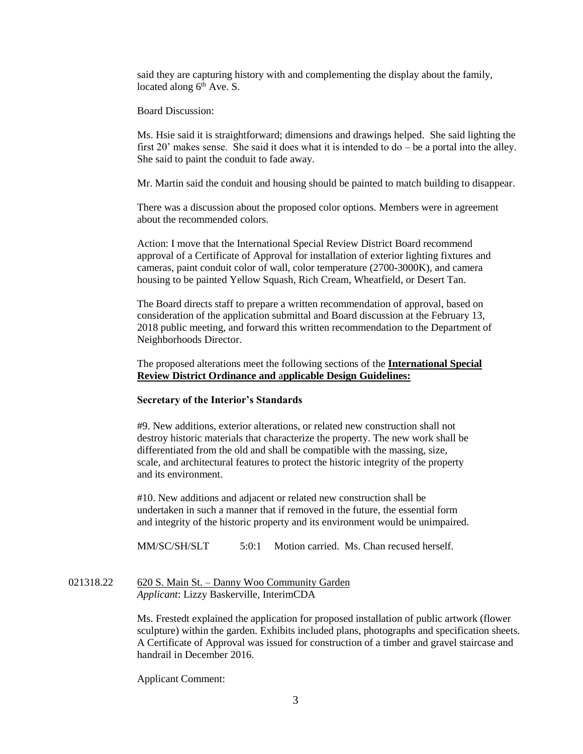said they are capturing history with and complementing the display about the family, located along  $6<sup>th</sup>$  Ave. S.

Board Discussion:

Ms. Hsie said it is straightforward; dimensions and drawings helped. She said lighting the first 20' makes sense. She said it does what it is intended to do – be a portal into the alley. She said to paint the conduit to fade away.

Mr. Martin said the conduit and housing should be painted to match building to disappear.

There was a discussion about the proposed color options. Members were in agreement about the recommended colors.

Action: I move that the International Special Review District Board recommend approval of a Certificate of Approval for installation of exterior lighting fixtures and cameras, paint conduit color of wall, color temperature (2700-3000K), and camera housing to be painted Yellow Squash, Rich Cream, Wheatfield, or Desert Tan.

The Board directs staff to prepare a written recommendation of approval, based on consideration of the application submittal and Board discussion at the February 13, 2018 public meeting, and forward this written recommendation to the Department of Neighborhoods Director.

The proposed alterations meet the following sections of the **International Special Review District Ordinance and** a**pplicable Design Guidelines:**

### **Secretary of the Interior's Standards**

#9. New additions, exterior alterations, or related new construction shall not destroy historic materials that characterize the property. The new work shall be differentiated from the old and shall be compatible with the massing, size, scale, and architectural features to protect the historic integrity of the property and its environment.

#10. New additions and adjacent or related new construction shall be undertaken in such a manner that if removed in the future, the essential form and integrity of the historic property and its environment would be unimpaired.

MM/SC/SH/SLT 5:0:1 Motion carried. Ms. Chan recused herself.

021318.22 620 S. Main St. – Danny Woo Community Garden *Applicant*: Lizzy Baskerville, InterimCDA

> Ms. Frestedt explained the application for proposed installation of public artwork (flower sculpture) within the garden. Exhibits included plans, photographs and specification sheets. A Certificate of Approval was issued for construction of a timber and gravel staircase and handrail in December 2016.

Applicant Comment: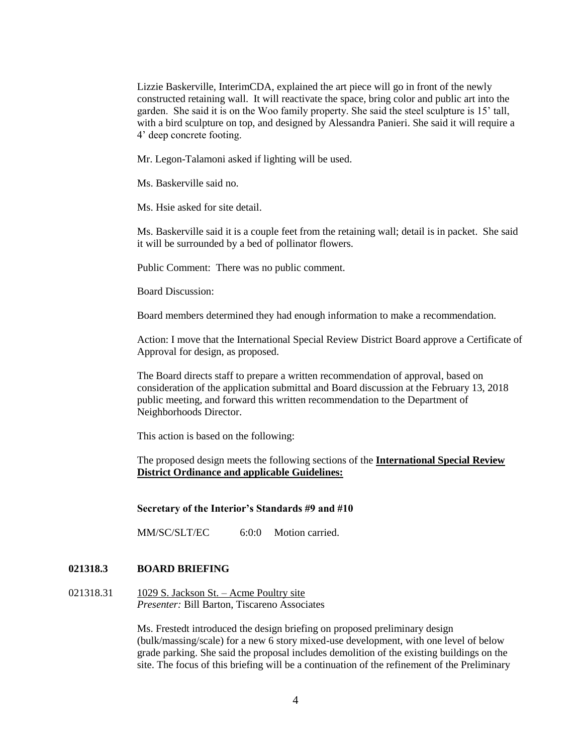Lizzie Baskerville, InterimCDA, explained the art piece will go in front of the newly constructed retaining wall. It will reactivate the space, bring color and public art into the garden. She said it is on the Woo family property. She said the steel sculpture is 15' tall, with a bird sculpture on top, and designed by Alessandra Panieri. She said it will require a 4' deep concrete footing.

Mr. Legon-Talamoni asked if lighting will be used.

Ms. Baskerville said no.

Ms. Hsie asked for site detail.

Ms. Baskerville said it is a couple feet from the retaining wall; detail is in packet. She said it will be surrounded by a bed of pollinator flowers.

Public Comment: There was no public comment.

Board Discussion:

Board members determined they had enough information to make a recommendation.

Action: I move that the International Special Review District Board approve a Certificate of Approval for design, as proposed.

The Board directs staff to prepare a written recommendation of approval, based on consideration of the application submittal and Board discussion at the February 13, 2018 public meeting, and forward this written recommendation to the Department of Neighborhoods Director.

This action is based on the following:

The proposed design meets the following sections of the **International Special Review District Ordinance and applicable Guidelines:**

#### **Secretary of the Interior's Standards #9 and #10**

MM/SC/SLT/EC 6:0:0 Motion carried.

## **021318.3 BOARD BRIEFING**

021318.31 1029 S. Jackson St. – Acme Poultry site *Presenter:* Bill Barton, Tiscareno Associates

> Ms. Frestedt introduced the design briefing on proposed preliminary design (bulk/massing/scale) for a new 6 story mixed-use development, with one level of below grade parking. She said the proposal includes demolition of the existing buildings on the site. The focus of this briefing will be a continuation of the refinement of the Preliminary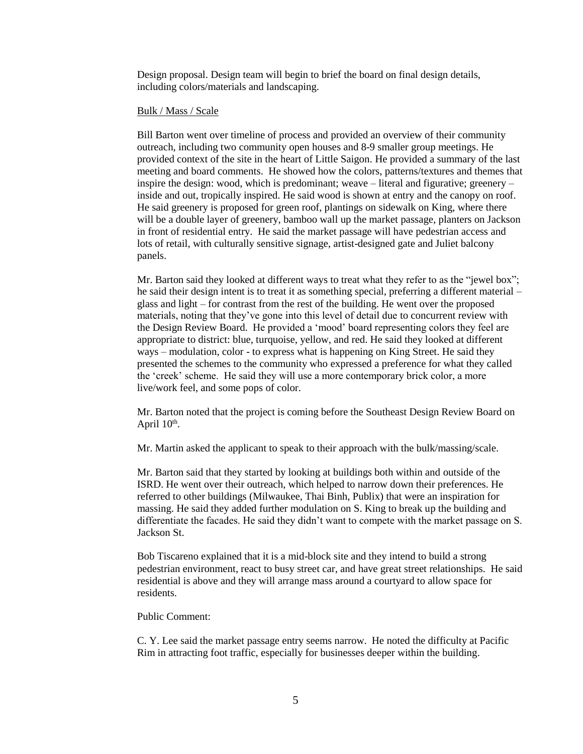Design proposal. Design team will begin to brief the board on final design details, including colors/materials and landscaping.

#### Bulk / Mass / Scale

Bill Barton went over timeline of process and provided an overview of their community outreach, including two community open houses and 8-9 smaller group meetings. He provided context of the site in the heart of Little Saigon. He provided a summary of the last meeting and board comments. He showed how the colors, patterns/textures and themes that inspire the design: wood, which is predominant; weave – literal and figurative; greenery – inside and out, tropically inspired. He said wood is shown at entry and the canopy on roof. He said greenery is proposed for green roof, plantings on sidewalk on King, where there will be a double layer of greenery, bamboo wall up the market passage, planters on Jackson in front of residential entry. He said the market passage will have pedestrian access and lots of retail, with culturally sensitive signage, artist-designed gate and Juliet balcony panels.

Mr. Barton said they looked at different ways to treat what they refer to as the "jewel box"; he said their design intent is to treat it as something special, preferring a different material – glass and light – for contrast from the rest of the building. He went over the proposed materials, noting that they've gone into this level of detail due to concurrent review with the Design Review Board. He provided a 'mood' board representing colors they feel are appropriate to district: blue, turquoise, yellow, and red. He said they looked at different ways – modulation, color - to express what is happening on King Street. He said they presented the schemes to the community who expressed a preference for what they called the 'creek' scheme. He said they will use a more contemporary brick color, a more live/work feel, and some pops of color.

Mr. Barton noted that the project is coming before the Southeast Design Review Board on April  $10^{\text{th}}$ .

Mr. Martin asked the applicant to speak to their approach with the bulk/massing/scale.

Mr. Barton said that they started by looking at buildings both within and outside of the ISRD. He went over their outreach, which helped to narrow down their preferences. He referred to other buildings (Milwaukee, Thai Binh, Publix) that were an inspiration for massing. He said they added further modulation on S. King to break up the building and differentiate the facades. He said they didn't want to compete with the market passage on S. Jackson St.

Bob Tiscareno explained that it is a mid-block site and they intend to build a strong pedestrian environment, react to busy street car, and have great street relationships. He said residential is above and they will arrange mass around a courtyard to allow space for residents.

#### Public Comment:

C. Y. Lee said the market passage entry seems narrow. He noted the difficulty at Pacific Rim in attracting foot traffic, especially for businesses deeper within the building.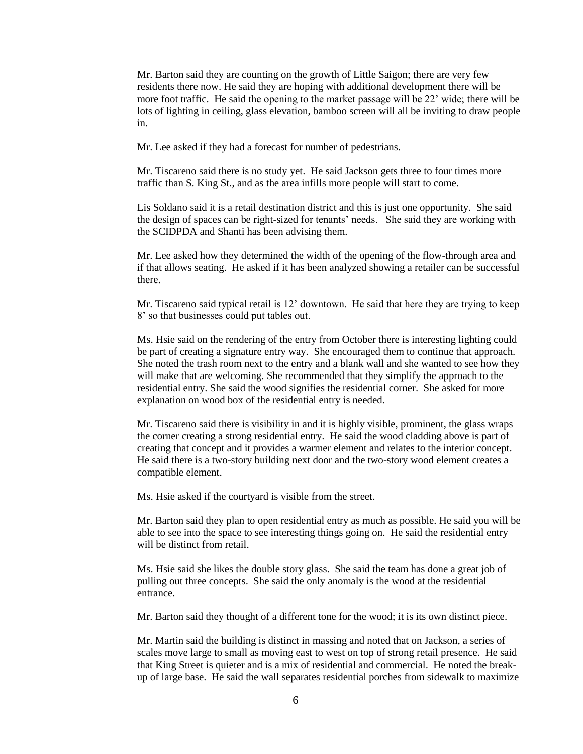Mr. Barton said they are counting on the growth of Little Saigon; there are very few residents there now. He said they are hoping with additional development there will be more foot traffic. He said the opening to the market passage will be 22' wide; there will be lots of lighting in ceiling, glass elevation, bamboo screen will all be inviting to draw people in.

Mr. Lee asked if they had a forecast for number of pedestrians.

Mr. Tiscareno said there is no study yet. He said Jackson gets three to four times more traffic than S. King St., and as the area infills more people will start to come.

Lis Soldano said it is a retail destination district and this is just one opportunity. She said the design of spaces can be right-sized for tenants' needs. She said they are working with the SCIDPDA and Shanti has been advising them.

Mr. Lee asked how they determined the width of the opening of the flow-through area and if that allows seating. He asked if it has been analyzed showing a retailer can be successful there.

Mr. Tiscareno said typical retail is 12' downtown. He said that here they are trying to keep 8' so that businesses could put tables out.

Ms. Hsie said on the rendering of the entry from October there is interesting lighting could be part of creating a signature entry way. She encouraged them to continue that approach. She noted the trash room next to the entry and a blank wall and she wanted to see how they will make that are welcoming. She recommended that they simplify the approach to the residential entry. She said the wood signifies the residential corner. She asked for more explanation on wood box of the residential entry is needed.

Mr. Tiscareno said there is visibility in and it is highly visible, prominent, the glass wraps the corner creating a strong residential entry. He said the wood cladding above is part of creating that concept and it provides a warmer element and relates to the interior concept. He said there is a two-story building next door and the two-story wood element creates a compatible element.

Ms. Hsie asked if the courtyard is visible from the street.

Mr. Barton said they plan to open residential entry as much as possible. He said you will be able to see into the space to see interesting things going on. He said the residential entry will be distinct from retail.

Ms. Hsie said she likes the double story glass. She said the team has done a great job of pulling out three concepts. She said the only anomaly is the wood at the residential entrance.

Mr. Barton said they thought of a different tone for the wood; it is its own distinct piece.

Mr. Martin said the building is distinct in massing and noted that on Jackson, a series of scales move large to small as moving east to west on top of strong retail presence. He said that King Street is quieter and is a mix of residential and commercial. He noted the breakup of large base. He said the wall separates residential porches from sidewalk to maximize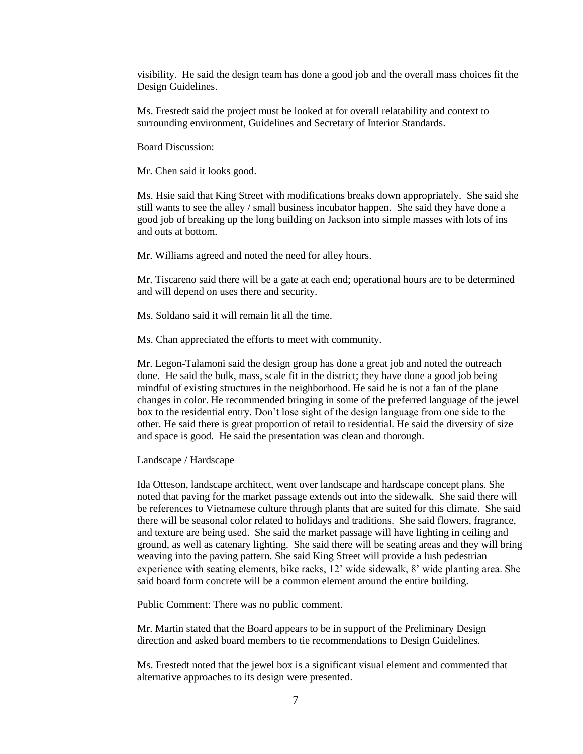visibility. He said the design team has done a good job and the overall mass choices fit the Design Guidelines.

Ms. Frestedt said the project must be looked at for overall relatability and context to surrounding environment, Guidelines and Secretary of Interior Standards.

Board Discussion:

Mr. Chen said it looks good.

Ms. Hsie said that King Street with modifications breaks down appropriately. She said she still wants to see the alley / small business incubator happen. She said they have done a good job of breaking up the long building on Jackson into simple masses with lots of ins and outs at bottom.

Mr. Williams agreed and noted the need for alley hours.

Mr. Tiscareno said there will be a gate at each end; operational hours are to be determined and will depend on uses there and security.

Ms. Soldano said it will remain lit all the time.

Ms. Chan appreciated the efforts to meet with community.

Mr. Legon-Talamoni said the design group has done a great job and noted the outreach done. He said the bulk, mass, scale fit in the district; they have done a good job being mindful of existing structures in the neighborhood. He said he is not a fan of the plane changes in color. He recommended bringing in some of the preferred language of the jewel box to the residential entry. Don't lose sight of the design language from one side to the other. He said there is great proportion of retail to residential. He said the diversity of size and space is good. He said the presentation was clean and thorough.

#### Landscape / Hardscape

Ida Otteson, landscape architect, went over landscape and hardscape concept plans. She noted that paving for the market passage extends out into the sidewalk. She said there will be references to Vietnamese culture through plants that are suited for this climate. She said there will be seasonal color related to holidays and traditions. She said flowers, fragrance, and texture are being used. She said the market passage will have lighting in ceiling and ground, as well as catenary lighting. She said there will be seating areas and they will bring weaving into the paving pattern. She said King Street will provide a lush pedestrian experience with seating elements, bike racks, 12' wide sidewalk, 8' wide planting area. She said board form concrete will be a common element around the entire building.

Public Comment: There was no public comment.

Mr. Martin stated that the Board appears to be in support of the Preliminary Design direction and asked board members to tie recommendations to Design Guidelines.

Ms. Frestedt noted that the jewel box is a significant visual element and commented that alternative approaches to its design were presented.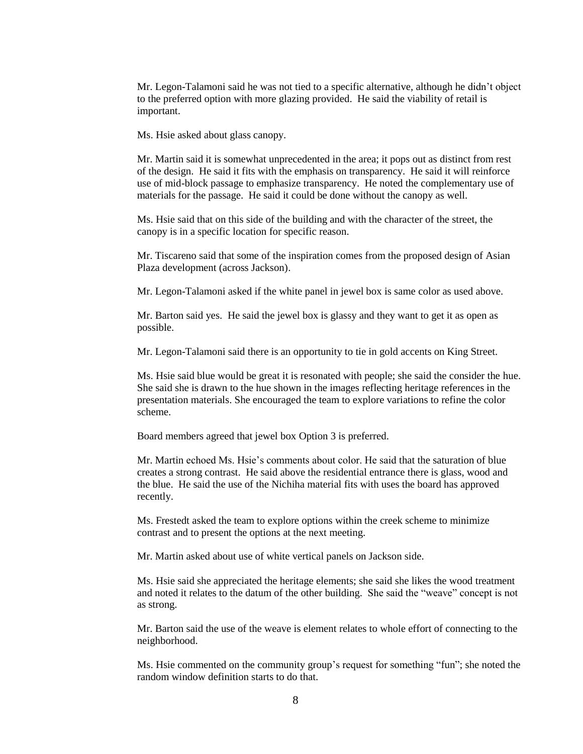Mr. Legon-Talamoni said he was not tied to a specific alternative, although he didn't object to the preferred option with more glazing provided. He said the viability of retail is important.

Ms. Hsie asked about glass canopy.

Mr. Martin said it is somewhat unprecedented in the area; it pops out as distinct from rest of the design. He said it fits with the emphasis on transparency. He said it will reinforce use of mid-block passage to emphasize transparency. He noted the complementary use of materials for the passage. He said it could be done without the canopy as well.

Ms. Hsie said that on this side of the building and with the character of the street, the canopy is in a specific location for specific reason.

Mr. Tiscareno said that some of the inspiration comes from the proposed design of Asian Plaza development (across Jackson).

Mr. Legon-Talamoni asked if the white panel in jewel box is same color as used above.

Mr. Barton said yes. He said the jewel box is glassy and they want to get it as open as possible.

Mr. Legon-Talamoni said there is an opportunity to tie in gold accents on King Street.

Ms. Hsie said blue would be great it is resonated with people; she said the consider the hue. She said she is drawn to the hue shown in the images reflecting heritage references in the presentation materials. She encouraged the team to explore variations to refine the color scheme.

Board members agreed that jewel box Option 3 is preferred.

Mr. Martin echoed Ms. Hsie's comments about color. He said that the saturation of blue creates a strong contrast. He said above the residential entrance there is glass, wood and the blue. He said the use of the Nichiha material fits with uses the board has approved recently.

Ms. Frestedt asked the team to explore options within the creek scheme to minimize contrast and to present the options at the next meeting.

Mr. Martin asked about use of white vertical panels on Jackson side.

Ms. Hsie said she appreciated the heritage elements; she said she likes the wood treatment and noted it relates to the datum of the other building. She said the "weave" concept is not as strong.

Mr. Barton said the use of the weave is element relates to whole effort of connecting to the neighborhood.

Ms. Hsie commented on the community group's request for something "fun"; she noted the random window definition starts to do that.